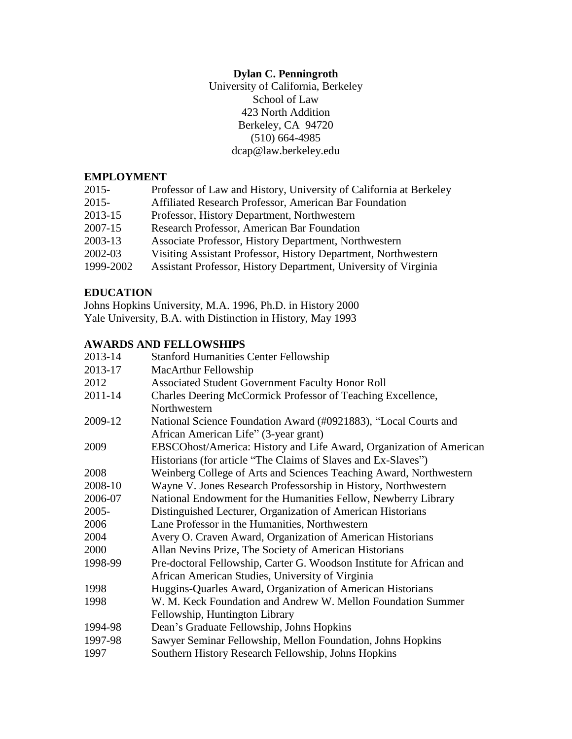# **Dylan C. Penningroth**

University of California, Berkeley School of Law 423 North Addition Berkeley, CA 94720 (510) 664-4985 dcap@law.berkeley.edu

## **EMPLOYMENT**

| $2015 -$  | Professor of Law and History, University of California at Berkeley |
|-----------|--------------------------------------------------------------------|
| $2015 -$  | Affiliated Research Professor, American Bar Foundation             |
| 2013-15   | Professor, History Department, Northwestern                        |
| 2007-15   | Research Professor, American Bar Foundation                        |
| 2003-13   | Associate Professor, History Department, Northwestern              |
| 2002-03   | Visiting Assistant Professor, History Department, Northwestern     |
| 1999-2002 | Assistant Professor, History Department, University of Virginia    |

## **EDUCATION**

Johns Hopkins University, M.A. 1996, Ph.D. in History 2000 Yale University, B.A. with Distinction in History, May 1993

## **AWARDS AND FELLOWSHIPS**

| <b>Stanford Humanities Center Fellowship</b>                         |
|----------------------------------------------------------------------|
| MacArthur Fellowship                                                 |
| Associated Student Government Faculty Honor Roll                     |
| Charles Deering McCormick Professor of Teaching Excellence,          |
| Northwestern                                                         |
| National Science Foundation Award (#0921883), "Local Courts and      |
| African American Life" (3-year grant)                                |
| EBSCOhost/America: History and Life Award, Organization of American  |
| Historians (for article "The Claims of Slaves and Ex-Slaves")        |
| Weinberg College of Arts and Sciences Teaching Award, Northwestern   |
| Wayne V. Jones Research Professorship in History, Northwestern       |
| National Endowment for the Humanities Fellow, Newberry Library       |
| Distinguished Lecturer, Organization of American Historians          |
| Lane Professor in the Humanities, Northwestern                       |
| Avery O. Craven Award, Organization of American Historians           |
| Allan Nevins Prize, The Society of American Historians               |
| Pre-doctoral Fellowship, Carter G. Woodson Institute for African and |
| African American Studies, University of Virginia                     |
| Huggins-Quarles Award, Organization of American Historians           |
| W. M. Keck Foundation and Andrew W. Mellon Foundation Summer         |
| Fellowship, Huntington Library                                       |
| Dean's Graduate Fellowship, Johns Hopkins                            |
| Sawyer Seminar Fellowship, Mellon Foundation, Johns Hopkins          |
| Southern History Research Fellowship, Johns Hopkins                  |
|                                                                      |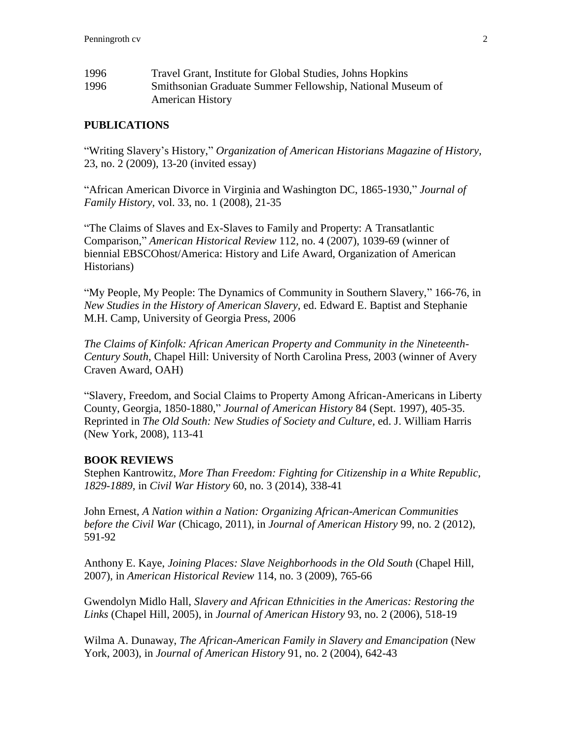| 1996 | Travel Grant, Institute for Global Studies, Johns Hopkins  |
|------|------------------------------------------------------------|
| 1996 | Smithsonian Graduate Summer Fellowship, National Museum of |
|      | <b>American History</b>                                    |

### **PUBLICATIONS**

"Writing Slavery's History," *Organization of American Historians Magazine of History,* 23, no. 2 (2009), 13-20 (invited essay)

"African American Divorce in Virginia and Washington DC, 1865-1930," *Journal of Family History,* vol. 33, no. 1 (2008), 21-35

"The Claims of Slaves and Ex-Slaves to Family and Property: A Transatlantic Comparison," *American Historical Review* 112, no. 4 (2007), 1039-69 (winner of biennial EBSCOhost/America: History and Life Award, Organization of American Historians)

"My People, My People: The Dynamics of Community in Southern Slavery," 166-76, in *New Studies in the History of American Slavery,* ed. Edward E. Baptist and Stephanie M.H. Camp, University of Georgia Press, 2006

*The Claims of Kinfolk: African American Property and Community in the Nineteenth-Century South*, Chapel Hill: University of North Carolina Press, 2003 (winner of Avery Craven Award, OAH)

"Slavery, Freedom, and Social Claims to Property Among African-Americans in Liberty County, Georgia, 1850-1880," *Journal of American History* 84 (Sept. 1997), 405-35. Reprinted in *The Old South: New Studies of Society and Culture,* ed. J. William Harris (New York, 2008), 113-41

### **BOOK REVIEWS**

Stephen Kantrowitz, *More Than Freedom: Fighting for Citizenship in a White Republic, 1829-1889,* in *Civil War History* 60, no. 3 (2014), 338-41

John Ernest, *A Nation within a Nation: Organizing African-American Communities before the Civil War* (Chicago, 2011), in *Journal of American History* 99, no. 2 (2012), 591-92

Anthony E. Kaye, *Joining Places: Slave Neighborhoods in the Old South* (Chapel Hill, 2007), in *American Historical Review* 114, no. 3 (2009), 765-66

Gwendolyn Midlo Hall, *Slavery and African Ethnicities in the Americas: Restoring the Links* (Chapel Hill, 2005), in *Journal of American History* 93, no. 2 (2006), 518-19

Wilma A. Dunaway, *The African-American Family in Slavery and Emancipation* (New York, 2003), in *Journal of American History* 91, no. 2 (2004), 642-43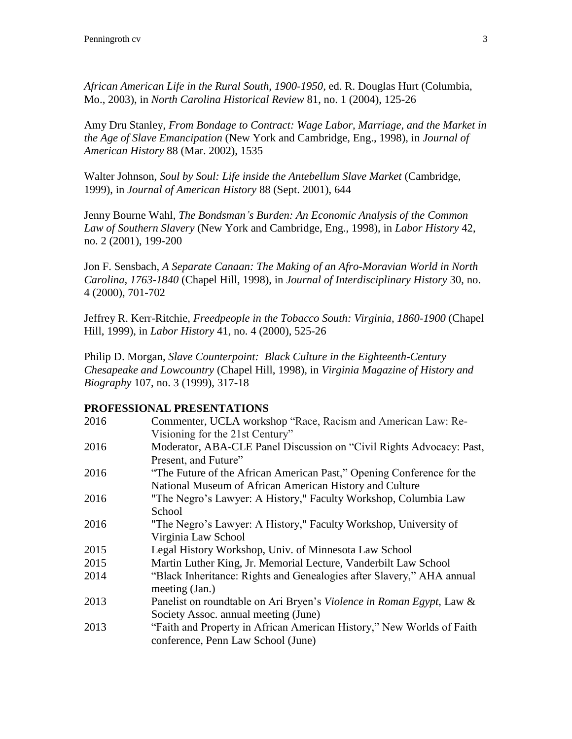*African American Life in the Rural South, 1900-1950,* ed. R. Douglas Hurt (Columbia, Mo., 2003), in *North Carolina Historical Review* 81, no. 1 (2004), 125-26

Amy Dru Stanley, *From Bondage to Contract: Wage Labor, Marriage, and the Market in the Age of Slave Emancipation* (New York and Cambridge, Eng., 1998), in *Journal of American History* 88 (Mar. 2002), 1535

Walter Johnson, *Soul by Soul: Life inside the Antebellum Slave Market* (Cambridge, 1999), in *Journal of American History* 88 (Sept. 2001), 644

Jenny Bourne Wahl, *The Bondsman's Burden: An Economic Analysis of the Common Law of Southern Slavery* (New York and Cambridge, Eng., 1998), in *Labor History* 42, no. 2 (2001), 199-200

Jon F. Sensbach, *A Separate Canaan: The Making of an Afro-Moravian World in North Carolina, 1763-1840* (Chapel Hill, 1998), in *Journal of Interdisciplinary History* 30, no. 4 (2000), 701-702

Jeffrey R. Kerr-Ritchie, *Freedpeople in the Tobacco South: Virginia, 1860-1900* (Chapel Hill, 1999), in *Labor History* 41, no. 4 (2000), 525-26

Philip D. Morgan, *Slave Counterpoint: Black Culture in the Eighteenth-Century Chesapeake and Lowcountry* (Chapel Hill, 1998), in *Virginia Magazine of History and Biography* 107, no. 3 (1999), 317-18

## **PROFESSIONAL PRESENTATIONS**

| 2016 | Commenter, UCLA workshop "Race, Racism and American Law: Re-          |
|------|-----------------------------------------------------------------------|
|      | Visioning for the 21st Century"                                       |
| 2016 | Moderator, ABA-CLE Panel Discussion on "Civil Rights Advocacy: Past,  |
|      | Present, and Future"                                                  |
| 2016 | "The Future of the African American Past," Opening Conference for the |
|      | National Museum of African American History and Culture               |
| 2016 | "The Negro's Lawyer: A History," Faculty Workshop, Columbia Law       |
|      | School                                                                |
| 2016 | "The Negro's Lawyer: A History," Faculty Workshop, University of      |
|      | Virginia Law School                                                   |
| 2015 | Legal History Workshop, Univ. of Minnesota Law School                 |
| 2015 | Martin Luther King, Jr. Memorial Lecture, Vanderbilt Law School       |
| 2014 | "Black Inheritance: Rights and Genealogies after Slavery," AHA annual |
|      | meeting (Jan.)                                                        |
| 2013 | Panelist on roundtable on Ari Bryen's Violence in Roman Egypt, Law &  |
|      | Society Assoc. annual meeting (June)                                  |
| 2013 | "Faith and Property in African American History," New Worlds of Faith |
|      | conference, Penn Law School (June)                                    |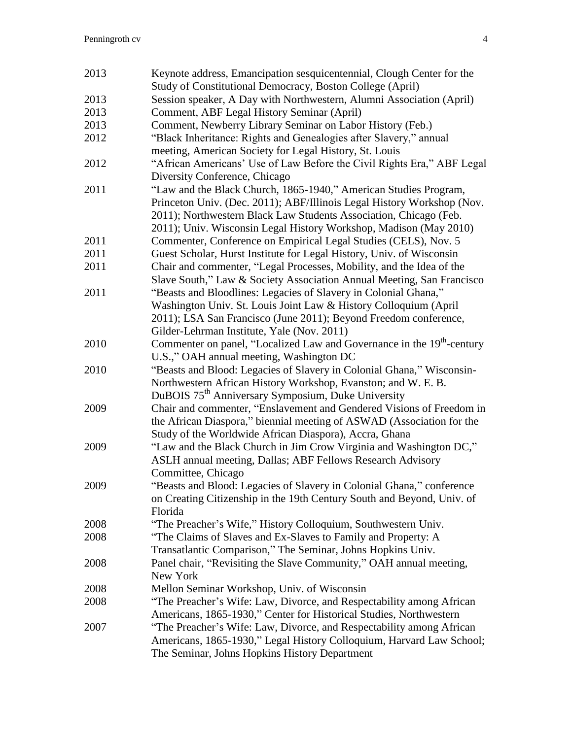| 2013 | Keynote address, Emancipation sesquicentennial, Clough Center for the                                   |
|------|---------------------------------------------------------------------------------------------------------|
|      | Study of Constitutional Democracy, Boston College (April)                                               |
| 2013 | Session speaker, A Day with Northwestern, Alumni Association (April)                                    |
| 2013 | Comment, ABF Legal History Seminar (April)                                                              |
| 2013 | Comment, Newberry Library Seminar on Labor History (Feb.)                                               |
| 2012 | "Black Inheritance: Rights and Genealogies after Slavery," annual                                       |
|      | meeting, American Society for Legal History, St. Louis                                                  |
| 2012 | "African Americans' Use of Law Before the Civil Rights Era," ABF Legal<br>Diversity Conference, Chicago |
| 2011 | "Law and the Black Church, 1865-1940," American Studies Program,                                        |
|      | Princeton Univ. (Dec. 2011); ABF/Illinois Legal History Workshop (Nov.                                  |
|      | 2011); Northwestern Black Law Students Association, Chicago (Feb.                                       |
|      | 2011); Univ. Wisconsin Legal History Workshop, Madison (May 2010)                                       |
| 2011 |                                                                                                         |
|      | Commenter, Conference on Empirical Legal Studies (CELS), Nov. 5                                         |
| 2011 | Guest Scholar, Hurst Institute for Legal History, Univ. of Wisconsin                                    |
| 2011 | Chair and commenter, "Legal Processes, Mobility, and the Idea of the                                    |
|      | Slave South," Law & Society Association Annual Meeting, San Francisco                                   |
| 2011 | "Beasts and Bloodlines: Legacies of Slavery in Colonial Ghana,"                                         |
|      | Washington Univ. St. Louis Joint Law & History Colloquium (April                                        |
|      | 2011); LSA San Francisco (June 2011); Beyond Freedom conference,                                        |
|      | Gilder-Lehrman Institute, Yale (Nov. 2011)                                                              |
| 2010 | Commenter on panel, "Localized Law and Governance in the 19 <sup>th</sup> -century                      |
|      | U.S.," OAH annual meeting, Washington DC                                                                |
| 2010 | "Beasts and Blood: Legacies of Slavery in Colonial Ghana," Wisconsin-                                   |
|      | Northwestern African History Workshop, Evanston; and W. E. B.                                           |
|      | DuBOIS 75 <sup>th</sup> Anniversary Symposium, Duke University                                          |
| 2009 | Chair and commenter, "Enslavement and Gendered Visions of Freedom in                                    |
|      | the African Diaspora," biennial meeting of ASWAD (Association for the                                   |
|      | Study of the Worldwide African Diaspora), Accra, Ghana                                                  |
| 2009 | "Law and the Black Church in Jim Crow Virginia and Washington DC,"                                      |
|      | ASLH annual meeting, Dallas; ABF Fellows Research Advisory                                              |
|      | Committee, Chicago                                                                                      |
| 2009 | "Beasts and Blood: Legacies of Slavery in Colonial Ghana," conference                                   |
|      | on Creating Citizenship in the 19th Century South and Beyond, Univ. of                                  |
|      | Florida                                                                                                 |
| 2008 | "The Preacher's Wife," History Colloquium, Southwestern Univ.                                           |
| 2008 | "The Claims of Slaves and Ex-Slaves to Family and Property: A                                           |
|      | Transatlantic Comparison," The Seminar, Johns Hopkins Univ.                                             |
| 2008 | Panel chair, "Revisiting the Slave Community," OAH annual meeting,                                      |
|      | New York                                                                                                |
| 2008 | Mellon Seminar Workshop, Univ. of Wisconsin                                                             |
|      | "The Preacher's Wife: Law, Divorce, and Respectability among African                                    |
| 2008 |                                                                                                         |
|      | Americans, 1865-1930," Center for Historical Studies, Northwestern                                      |
| 2007 | "The Preacher's Wife: Law, Divorce, and Respectability among African                                    |
|      | Americans, 1865-1930," Legal History Colloquium, Harvard Law School;                                    |
|      | The Seminar, Johns Hopkins History Department                                                           |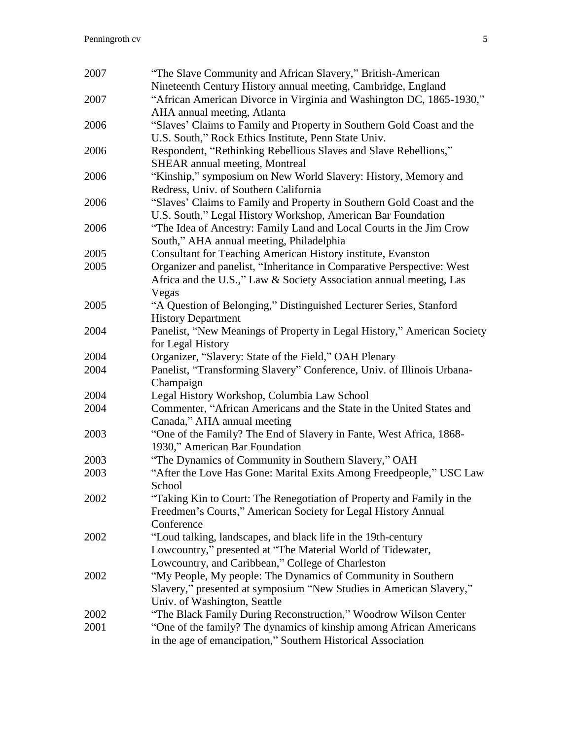| 2007 | "The Slave Community and African Slavery," British-American<br>Nineteenth Century History annual meeting, Cambridge, England  |
|------|-------------------------------------------------------------------------------------------------------------------------------|
| 2007 | "African American Divorce in Virginia and Washington DC, 1865-1930,"                                                          |
|      | AHA annual meeting, Atlanta                                                                                                   |
| 2006 | "Slaves' Claims to Family and Property in Southern Gold Coast and the<br>U.S. South," Rock Ethics Institute, Penn State Univ. |
| 2006 | Respondent, "Rethinking Rebellious Slaves and Slave Rebellions,"                                                              |
|      | <b>SHEAR</b> annual meeting, Montreal                                                                                         |
| 2006 | "Kinship," symposium on New World Slavery: History, Memory and                                                                |
|      | Redress, Univ. of Southern California                                                                                         |
| 2006 | "Slaves' Claims to Family and Property in Southern Gold Coast and the                                                         |
|      | U.S. South," Legal History Workshop, American Bar Foundation                                                                  |
| 2006 | "The Idea of Ancestry: Family Land and Local Courts in the Jim Crow                                                           |
|      | South," AHA annual meeting, Philadelphia                                                                                      |
| 2005 | Consultant for Teaching American History institute, Evanston                                                                  |
| 2005 | Organizer and panelist, "Inheritance in Comparative Perspective: West                                                         |
|      | Africa and the U.S.," Law & Society Association annual meeting, Las                                                           |
|      | Vegas                                                                                                                         |
| 2005 | "A Question of Belonging," Distinguished Lecturer Series, Stanford                                                            |
|      | <b>History Department</b>                                                                                                     |
| 2004 | Panelist, "New Meanings of Property in Legal History," American Society                                                       |
|      | for Legal History                                                                                                             |
| 2004 | Organizer, "Slavery: State of the Field," OAH Plenary                                                                         |
| 2004 | Panelist, "Transforming Slavery" Conference, Univ. of Illinois Urbana-                                                        |
|      | Champaign                                                                                                                     |
| 2004 | Legal History Workshop, Columbia Law School                                                                                   |
| 2004 | Commenter, "African Americans and the State in the United States and                                                          |
|      | Canada," AHA annual meeting                                                                                                   |
| 2003 | "One of the Family? The End of Slavery in Fante, West Africa, 1868-                                                           |
|      | 1930," American Bar Foundation                                                                                                |
| 2003 | "The Dynamics of Community in Southern Slavery," OAH                                                                          |
| 2003 | "After the Love Has Gone: Marital Exits Among Freedpeople," USC Law                                                           |
|      | School                                                                                                                        |
| 2002 | "Taking Kin to Court: The Renegotiation of Property and Family in the                                                         |
|      | Freedmen's Courts," American Society for Legal History Annual                                                                 |
|      | Conference                                                                                                                    |
| 2002 | "Loud talking, landscapes, and black life in the 19th-century                                                                 |
|      | Lowcountry," presented at "The Material World of Tidewater,                                                                   |
|      | Lowcountry, and Caribbean," College of Charleston                                                                             |
| 2002 | "My People, My people: The Dynamics of Community in Southern                                                                  |
|      | Slavery," presented at symposium "New Studies in American Slavery,"                                                           |
|      | Univ. of Washington, Seattle                                                                                                  |
| 2002 | "The Black Family During Reconstruction," Woodrow Wilson Center                                                               |
| 2001 | "One of the family? The dynamics of kinship among African Americans                                                           |
|      | in the age of emancipation," Southern Historical Association                                                                  |
|      |                                                                                                                               |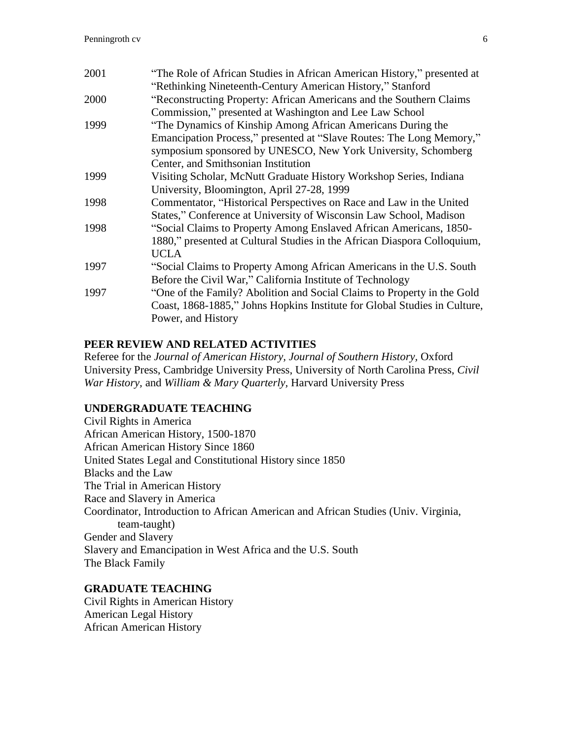| 2001 | "The Role of African Studies in African American History," presented at   |
|------|---------------------------------------------------------------------------|
|      | "Rethinking Nineteenth-Century American History," Stanford                |
| 2000 | "Reconstructing Property: African Americans and the Southern Claims       |
|      | Commission," presented at Washington and Lee Law School                   |
| 1999 | "The Dynamics of Kinship Among African Americans During the               |
|      | Emancipation Process," presented at "Slave Routes: The Long Memory,"      |
|      | symposium sponsored by UNESCO, New York University, Schomberg             |
|      | Center, and Smithsonian Institution                                       |
| 1999 | Visiting Scholar, McNutt Graduate History Workshop Series, Indiana        |
|      | University, Bloomington, April 27-28, 1999                                |
| 1998 | Commentator, "Historical Perspectives on Race and Law in the United       |
|      | States," Conference at University of Wisconsin Law School, Madison        |
| 1998 | "Social Claims to Property Among Enslaved African Americans, 1850-        |
|      | 1880," presented at Cultural Studies in the African Diaspora Colloquium,  |
|      | <b>UCLA</b>                                                               |
| 1997 | "Social Claims to Property Among African Americans in the U.S. South      |
|      | Before the Civil War," California Institute of Technology                 |
| 1997 | "One of the Family? Abolition and Social Claims to Property in the Gold   |
|      | Coast, 1868-1885," Johns Hopkins Institute for Global Studies in Culture, |
|      | Power, and History                                                        |
|      |                                                                           |

## **PEER REVIEW AND RELATED ACTIVITIES**

Referee for the *Journal of American History, Journal of Southern History,* Oxford University Press, Cambridge University Press, University of North Carolina Press, *Civil War History,* and *William & Mary Quarterly,* Harvard University Press

### **UNDERGRADUATE TEACHING**

Civil Rights in America African American History, 1500-1870 African American History Since 1860 United States Legal and Constitutional History since 1850 Blacks and the Law The Trial in American History Race and Slavery in America Coordinator, Introduction to African American and African Studies (Univ. Virginia, team-taught) Gender and Slavery Slavery and Emancipation in West Africa and the U.S. South The Black Family

### **GRADUATE TEACHING**

Civil Rights in American History American Legal History African American History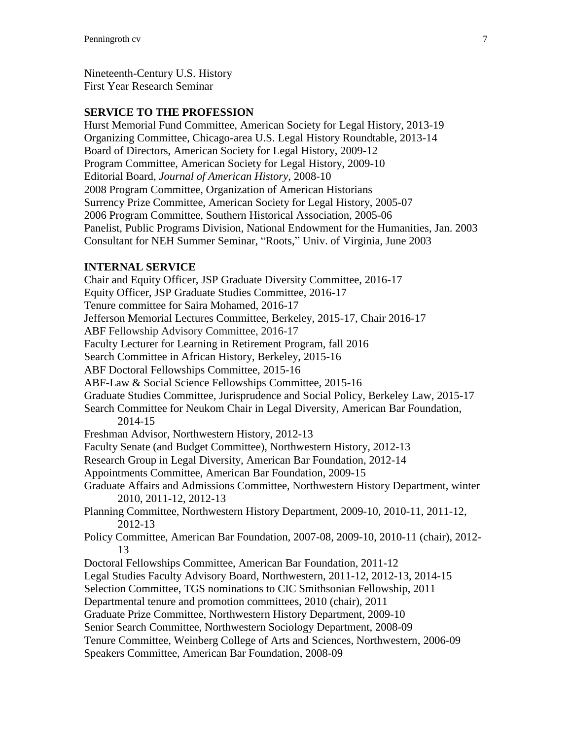Nineteenth-Century U.S. History First Year Research Seminar

### **SERVICE TO THE PROFESSION**

Hurst Memorial Fund Committee, American Society for Legal History, 2013-19 Organizing Committee, Chicago-area U.S. Legal History Roundtable, 2013-14 Board of Directors, American Society for Legal History, 2009-12 Program Committee, American Society for Legal History, 2009-10 Editorial Board, *Journal of American History,* 2008-10 2008 Program Committee, Organization of American Historians Surrency Prize Committee, American Society for Legal History, 2005-07 2006 Program Committee, Southern Historical Association, 2005-06 Panelist, Public Programs Division, National Endowment for the Humanities, Jan. 2003 Consultant for NEH Summer Seminar, "Roots," Univ. of Virginia, June 2003

## **INTERNAL SERVICE**

Chair and Equity Officer, JSP Graduate Diversity Committee, 2016-17 Equity Officer, JSP Graduate Studies Committee, 2016-17 Tenure committee for Saira Mohamed, 2016-17 Jefferson Memorial Lectures Committee, Berkeley, 2015-17, Chair 2016-17 ABF Fellowship Advisory Committee, 2016-17 Faculty Lecturer for Learning in Retirement Program, fall 2016 Search Committee in African History, Berkeley, 2015-16 ABF Doctoral Fellowships Committee, 2015-16 ABF-Law & Social Science Fellowships Committee, 2015-16 Graduate Studies Committee, Jurisprudence and Social Policy, Berkeley Law, 2015-17 Search Committee for Neukom Chair in Legal Diversity, American Bar Foundation, 2014-15 Freshman Advisor, Northwestern History, 2012-13 Faculty Senate (and Budget Committee), Northwestern History, 2012-13 Research Group in Legal Diversity, American Bar Foundation, 2012-14 Appointments Committee, American Bar Foundation, 2009-15 Graduate Affairs and Admissions Committee, Northwestern History Department, winter 2010, 2011-12, 2012-13 Planning Committee, Northwestern History Department, 2009-10, 2010-11, 2011-12, 2012-13 Policy Committee, American Bar Foundation, 2007-08, 2009-10, 2010-11 (chair), 2012- 13 Doctoral Fellowships Committee, American Bar Foundation, 2011-12 Legal Studies Faculty Advisory Board, Northwestern, 2011-12, 2012-13, 2014-15 Selection Committee, TGS nominations to CIC Smithsonian Fellowship, 2011 Departmental tenure and promotion committees, 2010 (chair), 2011 Graduate Prize Committee, Northwestern History Department, 2009-10 Senior Search Committee, Northwestern Sociology Department, 2008-09 Tenure Committee, Weinberg College of Arts and Sciences, Northwestern, 2006-09 Speakers Committee, American Bar Foundation, 2008-09